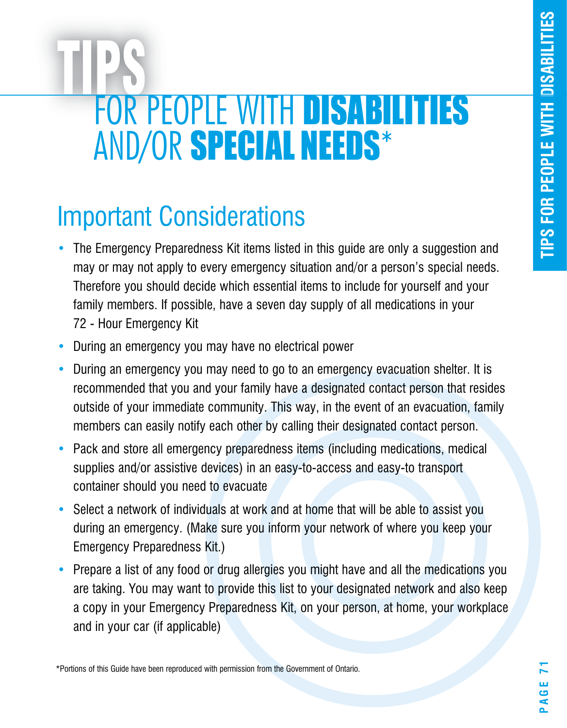# FOR PEOPLE WITH DISABILITIES ANd/or SPECIAL NEEDS\*

# Important Considerations

- The Emergency Preparedness Kit items listed in this guide are only a suggestion and may or may not apply to every emergency situation and/or a person's special needs. Therefore you should decide which essential items to include for yourself and your family members. If possible, have a seven day supply of all medications in your 72 - Hour Emergency Kit
- During an emergency you may have no electrical power
- During an emergency you may need to go to an emergency evacuation shelter. It is recommended that you and your family have a designated contact person that resides outside of your immediate community. This way, in the event of an evacuation, family members can easily notify each other by calling their designated contact person.
- Pack and store all emergency preparedness items (including medications, medical supplies and/or assistive devices) in an easy-to-access and easy-to transport container should you need to evacuate
- Select a network of individuals at work and at home that will be able to assist you during an emergency. (Make sure you inform your network of where you keep your Emergency Preparedness Kit.)
- Prepare a list of any food or drug allergies you might have and all the medications you are taking. You may want to provide this list to your designated network and also keep a copy in your Emergency Preparedness Kit, on your person, at home, your workplace and in your car (if applicable)

\*Portions of this Guide have been reproduced with permission from the Government of Ontario.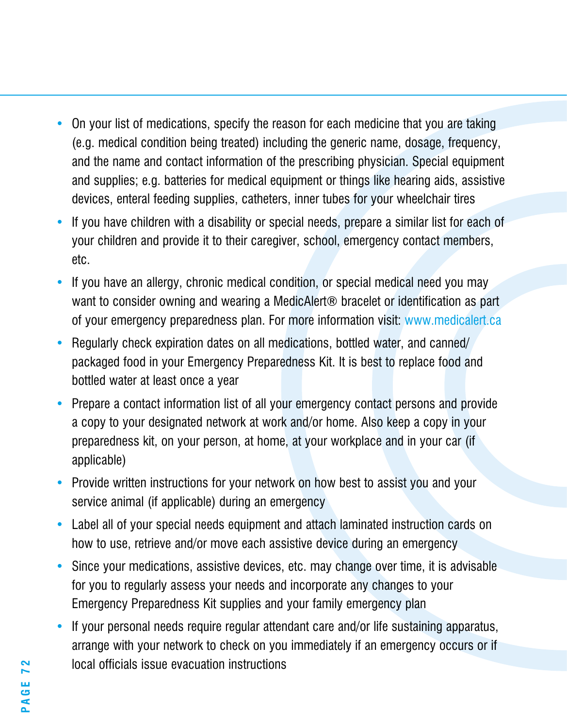- On your list of medications, specify the reason for each medicine that you are taking (e.g. medical condition being treated) including the generic name, dosage, frequency, and the name and contact information of the prescribing physician. Special equipment and supplies; e.g. batteries for medical equipment or things like hearing aids, assistive devices, enteral feeding supplies, catheters, inner tubes for your wheelchair tires
- If you have children with a disability or special needs, prepare a similar list for each of your children and provide it to their caregiver, school, emergency contact members, etc.
- If you have an allergy, chronic medical condition, or special medical need you may want to consider owning and wearing a MedicAlert<sup>®</sup> bracelet or identification as part of your emergency preparedness plan. For more information visit: www.medicalert.ca
- Regularly check expiration dates on all medications, bottled water, and canned/ packaged food in your Emergency Preparedness Kit. It is best to replace food and bottled water at least once a year
- Prepare a contact information list of all your emergency contact persons and provide a copy to your designated network at work and/or home. Also keep a copy in your preparedness kit, on your person, at home, at your workplace and in your car (if applicable)
- Provide written instructions for your network on how best to assist you and your service animal (if applicable) during an emergency
- Label all of your special needs equipment and attach laminated instruction cards on how to use, retrieve and/or move each assistive device during an emergency
- Since your medications, assistive devices, etc. may change over time, it is advisable for you to regularly assess your needs and incorporate any changes to your Emergency Preparedness Kit supplies and your family emergency plan
- If your personal needs require regular attendant care and/or life sustaining apparatus, arrange with your network to check on you immediately if an emergency occurs or if local officials issue evacuation instructions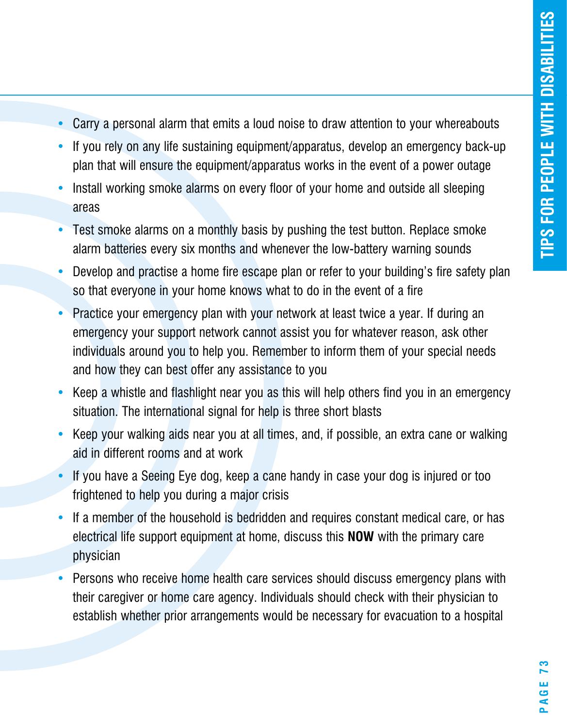- Carry a personal alarm that emits a loud noise to draw attention to your whereabouts
- If you rely on any life sustaining equipment/apparatus, develop an emergency back-up plan that will ensure the equipment/apparatus works in the event of a power outage
- Install working smoke alarms on every floor of your home and outside all sleeping areas
- Test smoke alarms on a monthly basis by pushing the test button. Replace smoke alarm batteries every six months and whenever the low-battery warning sounds
- Develop and practise a home fire escape plan or refer to your building's fire safety plan so that everyone in your home knows what to do in the event of a fire
- Practice your emergency plan with your network at least twice a year. If during an emergency your support network cannot assist you for whatever reason, ask other individuals around you to help you. Remember to inform them of your special needs and how they can best offer any assistance to you
- Keep a whistle and flashlight near you as this will help others find you in an emergency situation. The international signal for help is three short blasts
- Keep your walking aids near you at all times, and, if possible, an extra cane or walking aid in different rooms and at work
- If you have a Seeing Eye dog, keep a cane handy in case your dog is injured or too frightened to help you during a major crisis
- If a member of the household is bedridden and requires constant medical care, or has electrical life support equipment at home, discuss this **NOW** with the primary care physician
- Persons who receive home health care services should discuss emergency plans with their caregiver or home care agency. Individuals should check with their physician to establish whether prior arrangements would be necessary for evacuation to a hospital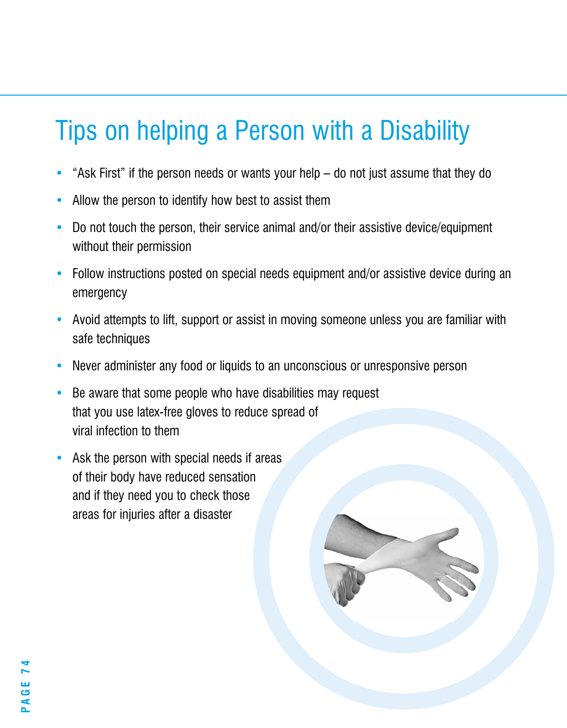# Tips on helping a Person with a Disability

- "Ask First" if the person needs or wants your help do not just assume that they do
- Allow the person to identify how best to assist them
- Do not touch the person, their service animal and/or their assistive device/equipment without their permission
- Follow instructions posted on special needs equipment and/or assistive device during an emergency
- Avoid attempts to lift, support or assist in moving someone unless you are familiar with safe techniques
- Never administer any food or liquids to an unconscious or unresponsive person
- Be aware that some people who have disabilities may request that you use latex-free gloves to reduce spread of viral infection to them
- Ask the person with special needs if areas of their body have reduced sensation and if they need you to check those areas for injuries after a disaster

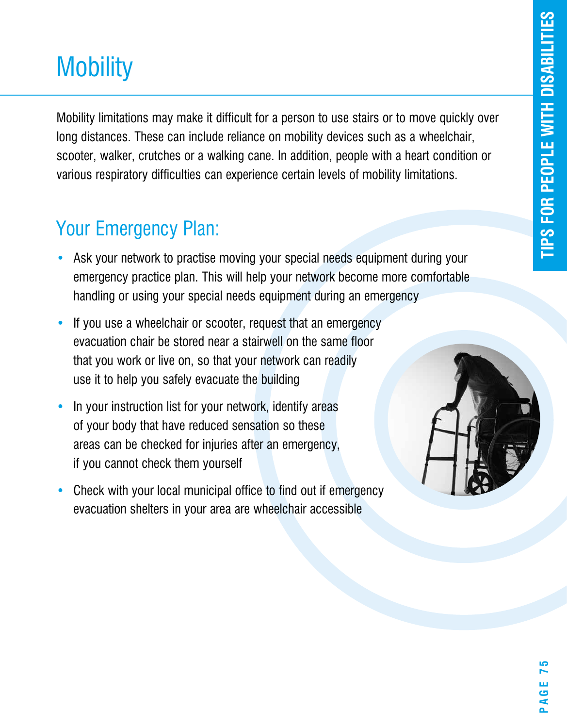# **Mobility**

**r**various respiratory difficulties can experience certain levels of mobility limitations. **s**<br>ior<br>ane<br>anc Mobility limitations may make it difficult for a person to use stairs or to move quickly over long distances. These can include reliance on mobility devices such as a wheelchair, scooter, walker, crutches or a walking cane. In addition, people with a heart condition or

- Ask your network to practise moving your special needs equipment during your emergency practice plan. This will help your network become more comfortable handling or using your special needs equipment during an emergency
- If you use a wheelchair or scooter, request that an emergency evacuation chair be stored near a stairwell on the same floor that you work or live on, so that your network can readily use it to help you safely evacuate the building
- In your instruction list for your network, identify areas of your body that have reduced sensation so these areas can be checked for injuries after an emergency, if you cannot check them yourself
- Check with your local municipal office to find out if emergency evacuation shelters in your area are wheelchair accessible

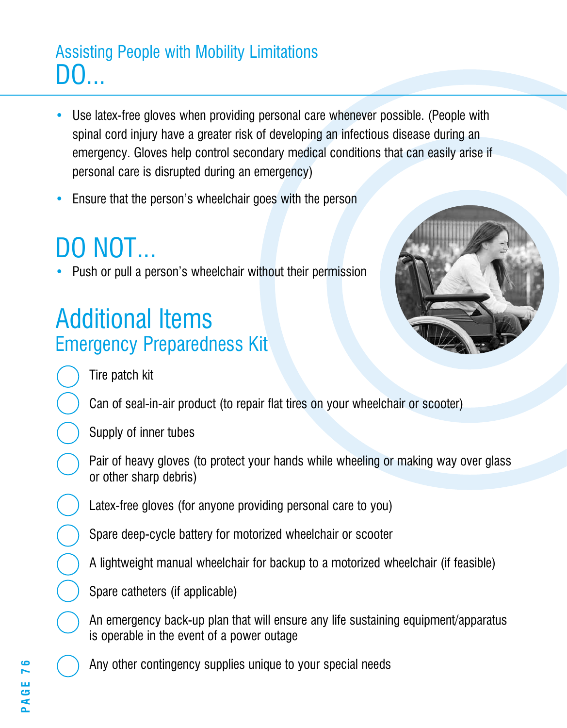### Assisting People with Mobility Limitations DO...

- Use latex-free gloves when providing personal care whenever possible. (People with spinal cord injury have a greater risk of developing an infectious disease during an emergency. Gloves help control secondary medical conditions that can easily arise if personal care is disrupted during an emergency)
- Ensure that the person's wheelchair goes with the person

# DO NOT...

• Push or pull a person's wheelchair without their permission

### Additional Items Emergency Preparedness Kit



Tire patch kit

Can of seal-in-air product (to repair flat tires on your wheelchair or scooter)

- Supply of inner tubes
- Pair of heavy gloves (to protect your hands while wheeling or making way over glass or other sharp debris)
- Latex-free gloves (for anyone providing personal care to you)
- Spare deep-cycle battery for motorized wheelchair or scooter
- A lightweight manual wheelchair for backup to a motorized wheelchair (if feasible)
- Spare catheters (if applicable)
- An emergency back-up plan that will ensure any life sustaining equipment/apparatus is operable in the event of a power outage
- Any other contingency supplies unique to your special needs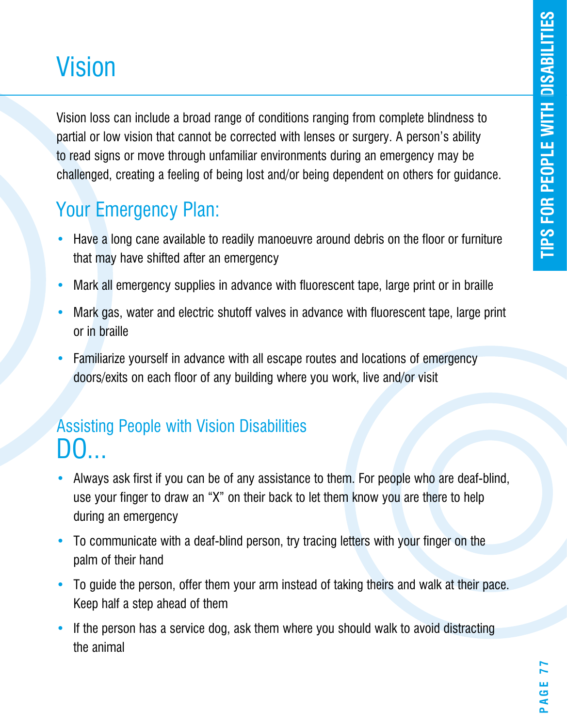# Vision

Vision loss can include a broad range of conditions ranging from complete blindness to partial or low vision that cannot be corrected with lenses or surgery. A person's ability to read signs or move through unfamiliar environments during an emergency may be challenged, creating a feeling of being lost and/or being dependent on others for guidance.

### Your Emergency Plan:

- Have a long cane available to readily manoeuvre around debris on the floor or furniture that may have shifted after an emergency
- Mark all emergency supplies in advance with fluorescent tape, large print or in braille
- Mark gas, water and electric shutoff valves in advance with fluorescent tape, large print or in braille
- Familiarize yourself in advance with all escape routes and locations of emergency doors/exits on each floor of any building where you work, live and/or visit

### Assisting People with Vision Disabilities  $\mathbf{D}$

- Always ask first if you can be of any assistance to them. For people who are deaf-blind, use your finger to draw an "X" on their back to let them know you are there to help during an emergency
- To communicate with a deaf-blind person, try tracing letters with your finger on the palm of their hand
- To guide the person, offer them your arm instead of taking theirs and walk at their pace. Keep half a step ahead of them
- If the person has a service dog, ask them where you should walk to avoid distracting the animal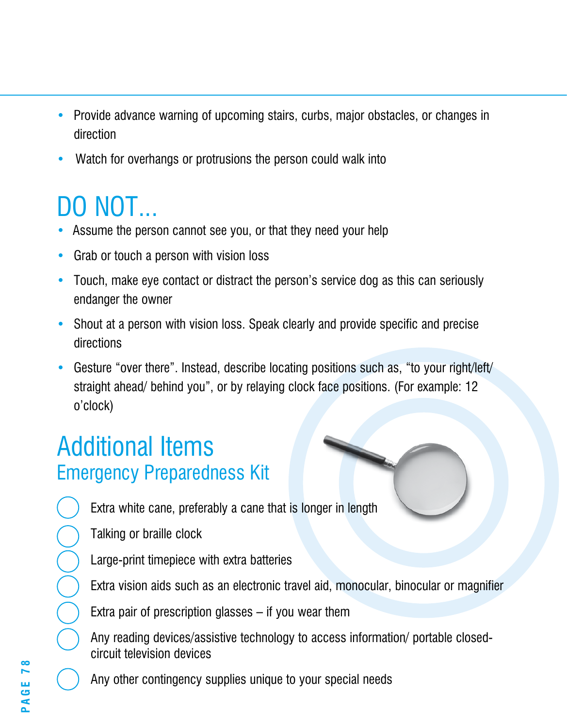- Provide advance warning of upcoming stairs, curbs, major obstacles, or changes in direction
- Watch for overhangs or protrusions the person could walk into

# DO NOT...

- Assume the person cannot see you, or that they need your help
- Grab or touch a person with vision loss
- Touch, make eye contact or distract the person's service dog as this can seriously endanger the owner
- Shout at a person with vision loss. Speak clearly and provide specific and precise directions
- Gesture "over there". Instead, describe locating positions such as, "to your right/left/ straight ahead/ behind you", or by relaying clock face positions. (For example: 12 o'clock)

### Additional Items Emergency Preparedness Kit

Extra white cane, preferably a cane that is longer in length

- Talking or braille clock
- Large-print timepiece with extra batteries
- Extra vision aids such as an electronic travel aid, monocular, binocular or magnifier
- Extra pair of prescription glasses if you wear them
- Any reading devices/assistive technology to access information/ portable closedcircuit television devices
- Any other contingency supplies unique to your special needs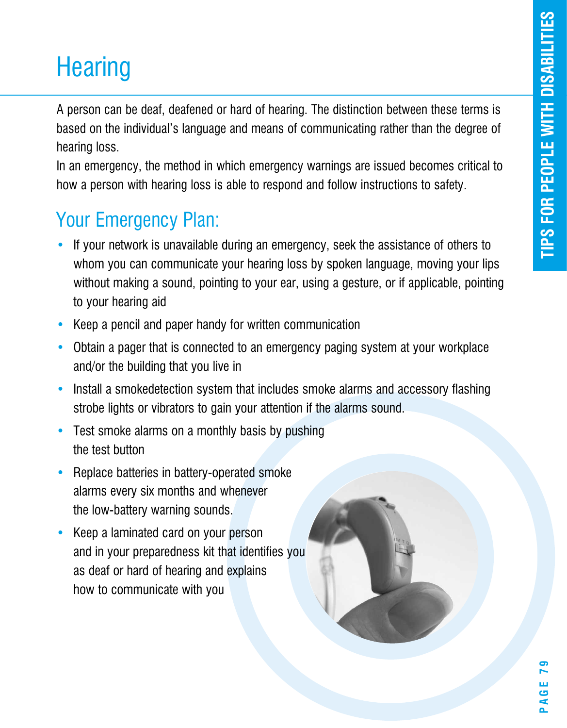# **Hearing**

A person can be deaf, deafened or hard of hearing. The distinction between these terms is based on the individual's language and means of communicating rather than the degree of hearing loss.

In an emergency, the method in which emergency warnings are issued becomes critical to how a person with hearing loss is able to respond and follow instructions to safety.

- If your network is unavailable during an emergency, seek the assistance of others to whom you can communicate your hearing loss by spoken language, moving your lips without making a sound, pointing to your ear, using a gesture, or if applicable, pointing to your hearing aid
- Keep a pencil and paper handy for written communication
- Obtain a pager that is connected to an emergency paging system at your workplace and/or the building that you live in
- Install a smokedetection system that includes smoke alarms and accessory flashing strobe lights or vibrators to gain your attention if the alarms sound.
- Test smoke alarms on a monthly basis by pushing the test button
- Replace batteries in battery-operated smoke alarms every six months and whenever the low-battery warning sounds.
- Keep a laminated card on your person and in your preparedness kit that identifies you as deaf or hard of hearing and explains how to communicate with you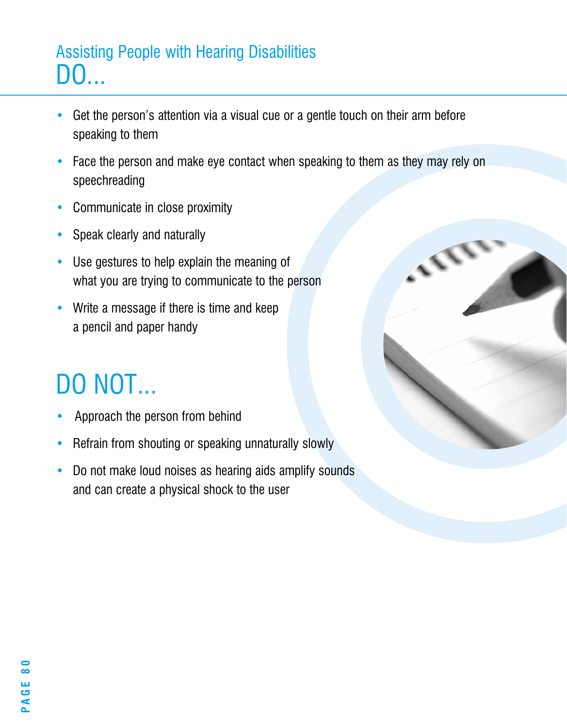### Assisting People with Hearing Disabilities DO...

- Get the person's attention via a visual cue or a gentle touch on their arm before speaking to them
- Face the person and make eye contact when speaking to them as they may rely on speechreading
- Communicate in close proximity
- Speak clearly and naturally
- Use gestures to help explain the meaning of what you are trying to communicate to the person
- Write a message if there is time and keep a pencil and paper handy

# DO NOT...

- Approach the person from behind
- Refrain from shouting or speaking unnaturally slowly
- Do not make loud noises as hearing aids amplify sounds and can create a physical shock to the user

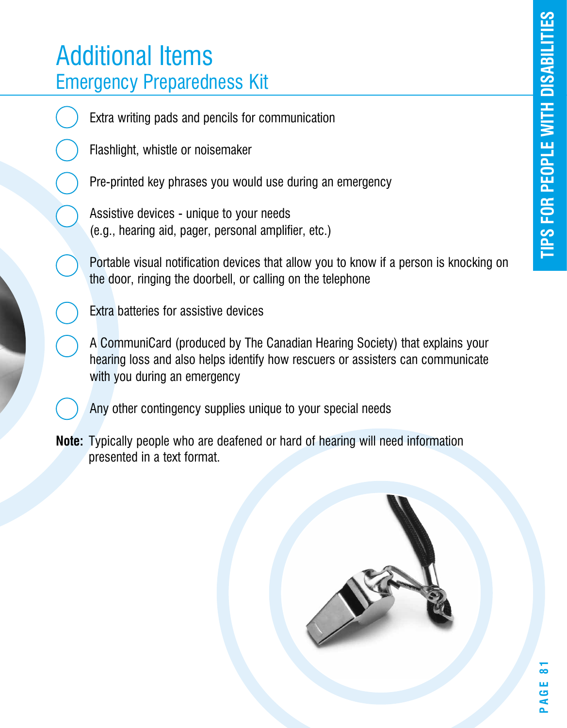### Additional Items Emergency Preparedness Kit

Extra writing pads and pencils for communication

Flashlight, whistle or noisemaker

Pre-printed key phrases you would use during an emergency

Assistive devices - unique to your needs (e.g., hearing aid, pager, personal amplifier, etc.)

Portable visual notification devices that allow you to know if a person is knocking on the door, ringing the doorbell, or calling on the telephone

Extra batteries for assistive devices

A CommuniCard (produced by The Canadian Hearing Society) that explains your hearing loss and also helps identify how rescuers or assisters can communicate with you during an emergency

Any other contingency supplies unique to your special needs

**Note:** Typically people who are deafened or hard of hearing will need information presented in a text format.

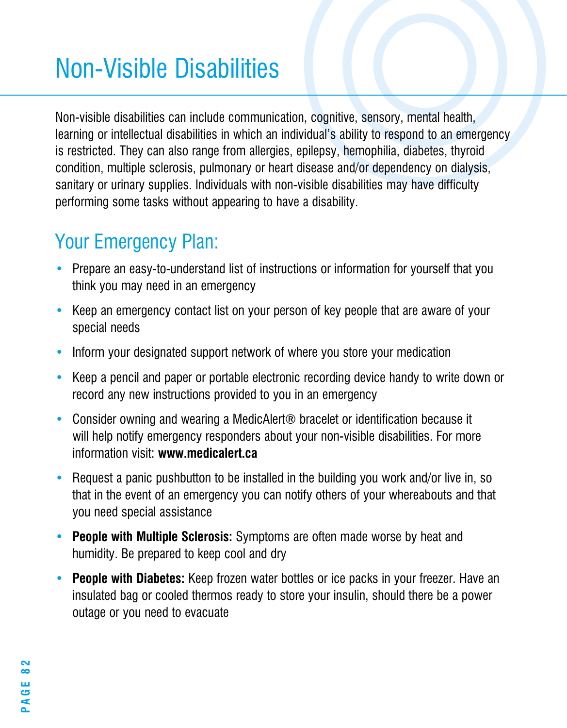# Non-Visible Disabilities

Non-visible disabilities can include communication, cognitive, sensory, mental health, learning or intellectual disabilities in which an individual's ability to respond to an emergency is restricted. They can also range from allergies, epilepsy, hemophilia, diabetes, thyroid condition, multiple sclerosis, pulmonary or heart disease and/or dependency on dialysis, sanitary or urinary supplies. Individuals with non-visible disabilities may have difficulty performing some tasks without appearing to have a disability.

- Prepare an easy-to-understand list of instructions or information for yourself that you think you may need in an emergency
- Keep an emergency contact list on your person of key people that are aware of your special needs
- Inform your designated support network of where you store your medication
- Keep a pencil and paper or portable electronic recording device handy to write down or record any new instructions provided to you in an emergency
- Consider owning and wearing a MedicAlert<sup>®</sup> bracelet or identification because it will help notify emergency responders about your non-visible disabilities. For more information visit: **www.medicalert.ca**
- Request a panic pushbutton to be installed in the building you work and/or live in, so that in the event of an emergency you can notify others of your whereabouts and that you need special assistance
- **People with Multiple Sclerosis:** Symptoms are often made worse by heat and humidity. Be prepared to keep cool and dry
- **People with Diabetes:** Keep frozen water bottles or ice packs in your freezer. Have an insulated bag or cooled thermos ready to store your insulin, should there be a power outage or you need to evacuate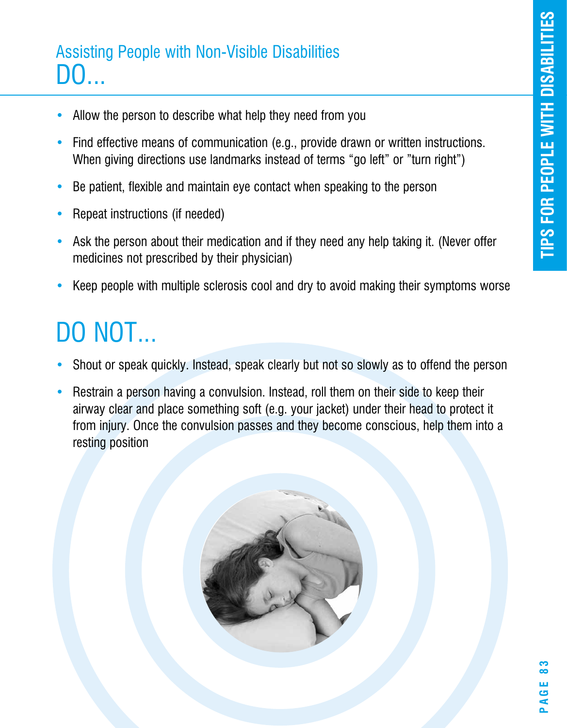### Assisting People with Non-Visible Disabilities DO...

- Allow the person to describe what help they need from you
- Find effective means of communication (e.g., provide drawn or written instructions. When giving directions use landmarks instead of terms "go left" or "turn right")
- Be patient, flexible and maintain eye contact when speaking to the person
- Repeat instructions (if needed)
- Ask the person about their medication and if they need any help taking it. (Never offer medicines not prescribed by their physician)
- Keep people with multiple sclerosis cool and dry to avoid making their symptoms worse

# DO NOT...

- Shout or speak quickly. Instead, speak clearly but not so slowly as to offend the person
- Restrain a person having a convulsion. Instead, roll them on their side to keep their airway clear and place something soft (e.g. your jacket) under their head to protect it from injury. Once the convulsion passes and they become conscious, help them into a resting position

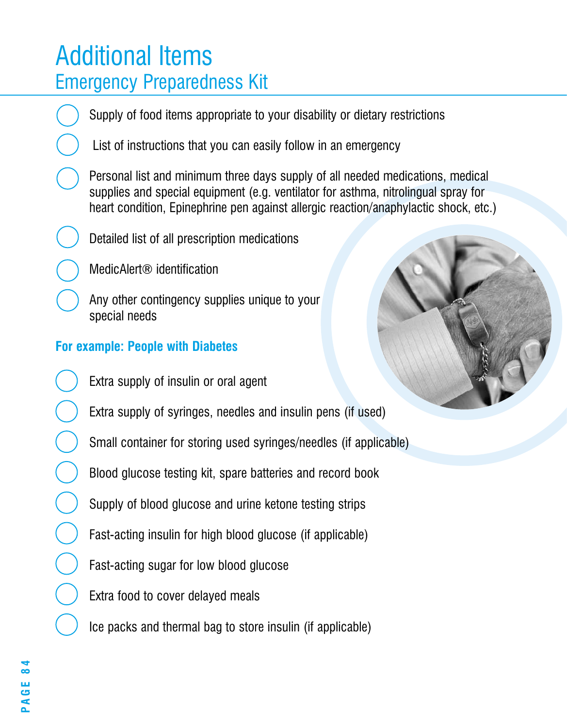### Additional Items Emergency Preparedness Kit

Supply of food items appropriate to your disability or dietary restrictions

List of instructions that you can easily follow in an emergency

Personal list and minimum three days supply of all needed medications, medical supplies and special equipment (e.g. ventilator for asthma, nitrolingual spray for heart condition. Epinephrine pen against allergic reaction/anaphylactic shock, etc.)

Detailed list of all prescription medications

MedicAlert® identification

Any other contingency supplies unique to your special needs

### **For example: People with Diabetes**

Extra supply of insulin or oral agent

Extra supply of syringes, needles and insulin pens (if used)

Small container for storing used syringes/needles (if applicable)

Blood glucose testing kit, spare batteries and record book

Supply of blood glucose and urine ketone testing strips

Fast-acting insulin for high blood glucose (if applicable)

Fast-acting sugar for low blood glucose

Extra food to cover delayed meals

Ice packs and thermal bag to store insulin (if applicable)



**PAGE 84** <u>س</u><br>م  $\overline{A}$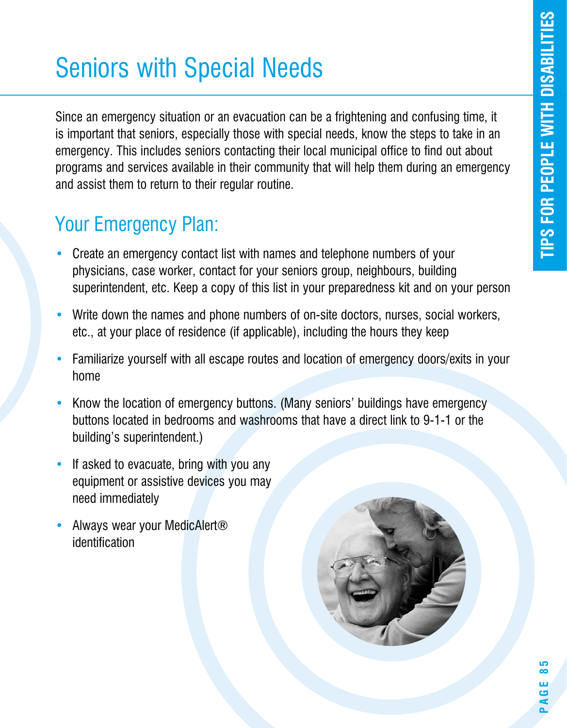# Seniors with Special Needs

Since an emergency situation or an evacuation can be a frightening and confusing time, it is important that seniors, especially those with special needs, know the steps to take in an emergency. This includes seniors contacting their local municipal office to find out about programs and services available in their community that will help them during an emergency and assist them to return to their regular routine.

- Create an emergency contact list with names and telephone numbers of your physicians, case worker, contact for your seniors group, neighbours, building superintendent, etc. Keep a copy of this list in your preparedness kit and on your person
- Write down the names and phone numbers of on-site doctors, nurses, social workers, etc., at your place of residence (if applicable), including the hours they keep
- Familiarize yourself with all escape routes and location of emergency doors/exits in your home
- Know the location of emergency buttons. (Many seniors' buildings have emergency buttons located in bedrooms and washrooms that have a direct link to 9-1-1 or the building's superintendent.)
- If asked to evacuate, bring with you any equipment or assistive devices you may need immediately
- Always wear your MedicAlert® identification

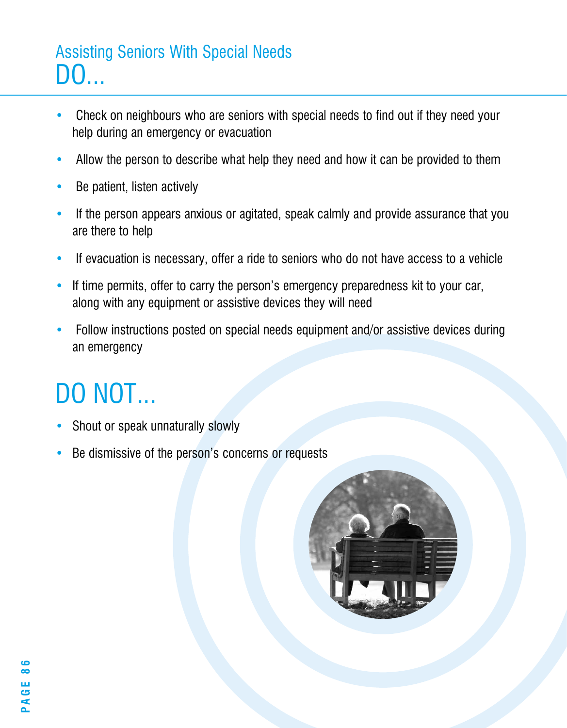### Assisting Seniors With Special Needs DO...

- Check on neighbours who are seniors with special needs to find out if they need your help during an emergency or evacuation
- Allow the person to describe what help they need and how it can be provided to them
- Be patient, listen actively
- If the person appears anxious or agitated, speak calmly and provide assurance that you are there to help
- If evacuation is necessary, offer a ride to seniors who do not have access to a vehicle
- If time permits, offer to carry the person's emergency preparedness kit to your car, along with any equipment or assistive devices they will need
- Follow instructions posted on special needs equipment and/or assistive devices during an emergency

# DO NOT...

- Shout or speak unnaturally slowly
- Be dismissive of the person's concerns or requests

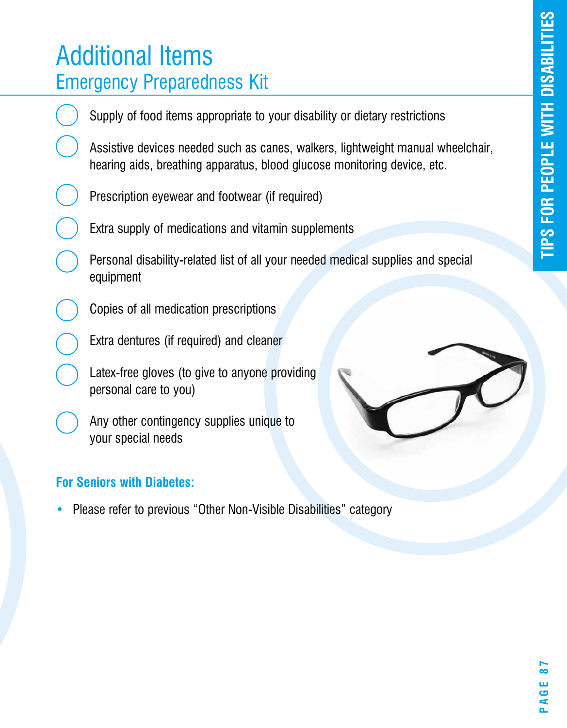### Additional Items Emergency Preparedness Kit

r (i<br>itai **r**hearing aids, breathing apparatus, blood glucose monitoring device, etc. **s**<br>**l**<br>**c**<br>**c**<br>**bl** Supply of food items appropriate to your disability or dietary restrictions Assistive devices needed such as canes, walkers, lightweight manual wheelchair, Prescription eyewear and footwear (if required) Extra supply of medications and vitamin supplements Personal disability-related list of all your needed medical supplies and special equipment Copies of all medication prescriptions Extra dentures (if required) and cleaner Latex-free gloves (to give to anyone providing personal care to you) Any other contingency supplies unique to your special needs

### **For Seniors with Diabetes:**

• Please refer to previous "Other Non-Visible Disabilities" category

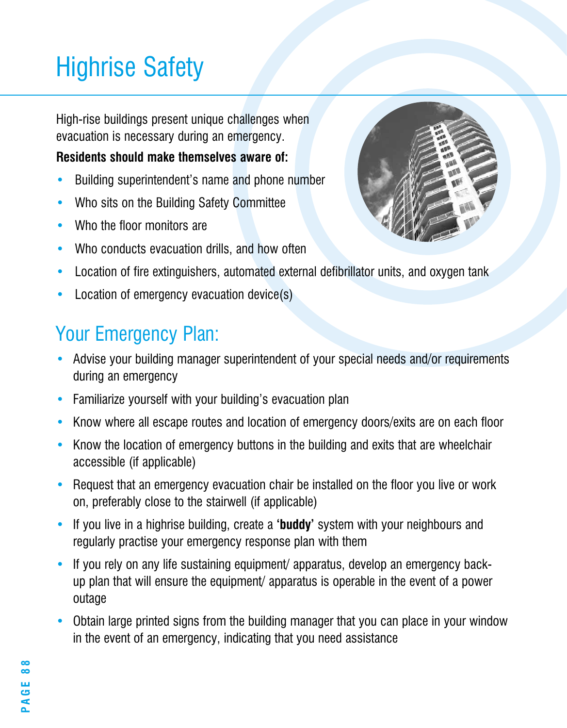# Highrise Safety

High-rise buildings present unique challenges when evacuation is necessary during an emergency.

#### **Residents should make themselves aware of:**

- Building superintendent's name and phone number
- Who sits on the Building Safety Committee
- Who the floor monitors are
- Who conducts evacuation drills, and how often
- Location of fire extinguishers, automated external defibrillator units, and oxygen tank
- Location of emergency evacuation device(s)

- Advise your building manager superintendent of your special needs and/or requirements during an emergency
- Familiarize yourself with your building's evacuation plan
- Know where all escape routes and location of emergency doors/exits are on each floor
- Know the location of emergency buttons in the building and exits that are wheelchair accessible (if applicable)
- Request that an emergency evacuation chair be installed on the floor you live or work on, preferably close to the stairwell (if applicable)
- If you live in a highrise building, create a **'buddy'** system with your neighbours and regularly practise your emergency response plan with them
- If you rely on any life sustaining equipment/ apparatus, develop an emergency backup plan that will ensure the equipment/ apparatus is operable in the event of a power outage
- Obtain large printed signs from the building manager that you can place in your window in the event of an emergency, indicating that you need assistance

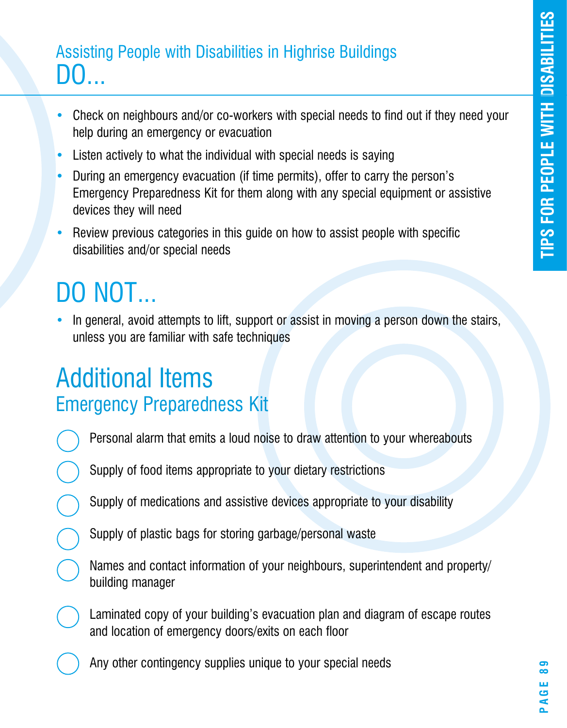# **specia l needs** Assisting People with Disabilities in Highrise Buildings DO...

- Check on neighbours and/or co-workers with special needs to find out if they need your help during an emergency or evacuation
- Listen actively to what the individual with special needs is saying
- n a<br>ide • During an emergency evacuation (if time permits), offer to carry the person's Emergency Preparedness Kit for them along with any special equipment or assistive devices they will need
- Review previous categories in this guide on how to assist people with specific disabilities and/or special needs

# DO NOT...

• In general, avoid attempts to lift, support or assist in moving a person down the stairs, unless you are familiar with safe techniques

### Additional Items Emergency Preparedness Kit

- Personal alarm that emits a loud noise to draw attention to your whereabouts
- Supply of food items appropriate to your dietary restrictions
- Supply of medications and assistive devices appropriate to your disability
- Supply of plastic bags for storing garbage/personal waste
- Names and contact information of your neighbours, superintendent and property/ building manager
- Laminated copy of your building's evacuation plan and diagram of escape routes and location of emergency doors/exits on each floor
	- Any other contingency supplies unique to your special needs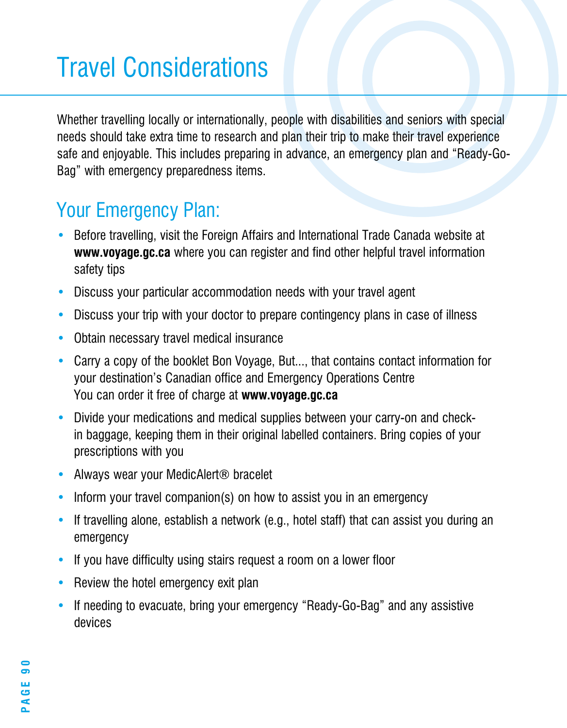# Travel Considerations

Whether travelling locally or internationally, people with disabilities and seniors with special needs should take extra time to research and plan their trip to make their travel experience safe and enjoyable. This includes preparing in advance, an emergency plan and "Ready-Go-Bag" with emergency preparedness items.

- Before travelling, visit the Foreign Affairs and International Trade Canada website at **www.voyage.gc.ca** where you can register and find other helpful travel information safety tips
- Discuss your particular accommodation needs with your travel agent
- Discuss your trip with your doctor to prepare contingency plans in case of illness
- Obtain necessary travel medical insurance
- Carry a copy of the booklet Bon Voyage, But..., that contains contact information for your destination's Canadian office and Emergency Operations Centre You can order it free of charge at **www.voyage.gc.ca**
- Divide your medications and medical supplies between your carry-on and checkin baggage, keeping them in their original labelled containers. Bring copies of your prescriptions with you
- Always wear your MedicAlert<sup>®</sup> bracelet
- Inform your travel companion(s) on how to assist you in an emergency
- If travelling alone, establish a network (e.g., hotel staff) that can assist you during an emergency
- If you have difficulty using stairs request a room on a lower floor
- Review the hotel emergency exit plan
- If needing to evacuate, bring your emergency "Ready-Go-Bag" and any assistive devices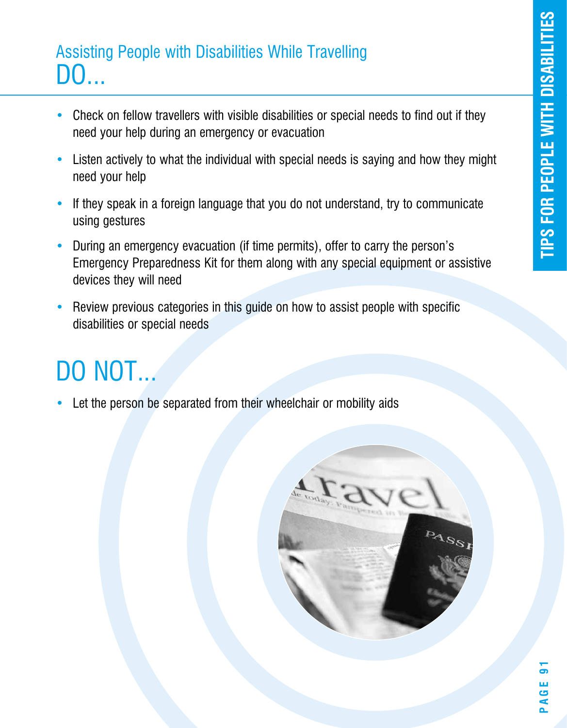### Assisting People with Disabilities While Travelling DO...

- Check on fellow travellers with visible disabilities or special needs to find out if they need your help during an emergency or evacuation
- Listen actively to what the individual with special needs is saying and how they might need your help
- If they speak in a foreign language that you do not understand, try to communicate using gestures
- During an emergency evacuation (if time permits), offer to carry the person's Emergency Preparedness Kit for them along with any special equipment or assistive devices they will need
- Review previous categories in this guide on how to assist people with specific disabilities or special needs

# DO NOT...

Let the person be separated from their wheelchair or mobility aids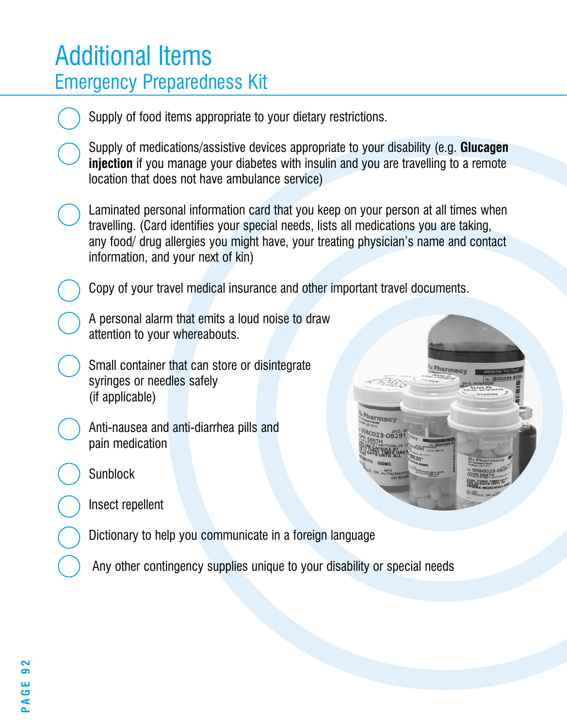### Additional Items Emergency Preparedness Kit

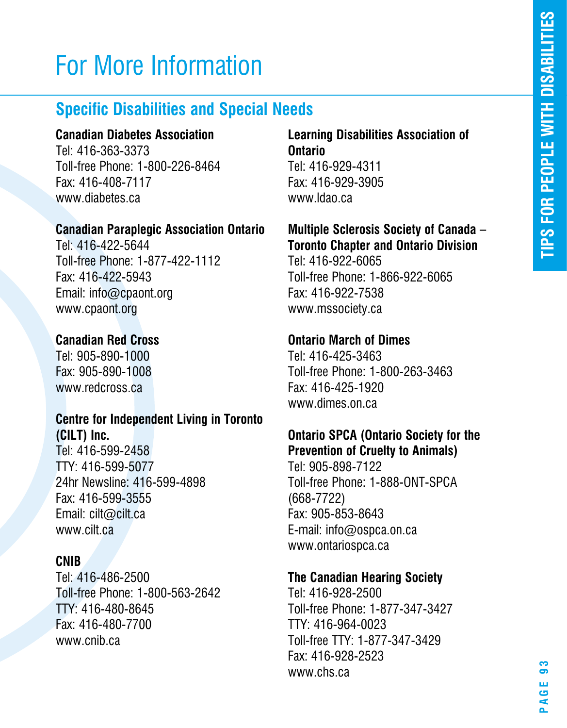# For More Information

### **Specific Disabilities and Special Needs**

#### **Canadian Diabetes Association**

Tel: 416-363-3373 Toll-free Phone: 1-800-226-8464 Fax: 416-408-7117 www.diabetes.ca

#### **Canadian Paraplegic Association Ontario**

Tel: 416-422-5644 Toll-free Phone: 1-877-422-1112 Fax: 416-422-5943 Email: info@cpaont.org www.cpaont.org

#### **Canadian Red Cross**

Tel: 905-890-1000 Fax: 905-890-1008 www.redcross.ca

#### **Centre for Independent Living in Toronto (CILT) Inc.**

Tel: 416-599-2458 TTY: 416-599-5077 24hr Newsline: 416-599-4898 Fax: 416-599-3555 Email: cilt@cilt.ca www.cilt.ca

#### **CNIB**

Tel: 416-486-2500 Toll-free Phone: 1-800-563-2642 TTY: 416-480-8645 Fax: 416-480-7700 www.cnib.ca

#### **Learning Disabilities Association of Ontario** Tel: 416-929-4311 Fax: 416-929-3905 www.ldao.ca

### **Multiple Sclerosis Society of Canada – Toronto Chapter and Ontario Division**

Tel: 416-922-6065 Toll-free Phone: 1-866-922-6065 Fax: 416-922-7538 www.mssociety.ca

#### **Ontario March of Dimes**

Tel: 416-425-3463 Toll-free Phone: 1-800-263-3463 Fax: 416-425-1920 www.dimes.on.ca

### **Ontario SPCA (Ontario Society for the Prevention of Cruelty to Animals)**

Tel: 905-898-7122 Toll-free Phone: 1-888-ONT-SPCA (668-7722) Fax: 905-853-8643 E-mail: info@ospca.on.ca www.ontariospca.ca

#### **The Canadian Hearing Society**

Tel: 416-928-2500 Toll-free Phone: 1-877-347-3427 TTY: 416-964-0023 Toll-free TTY: 1-877-347-3429 Fax: 416-928-2523 www.chs.ca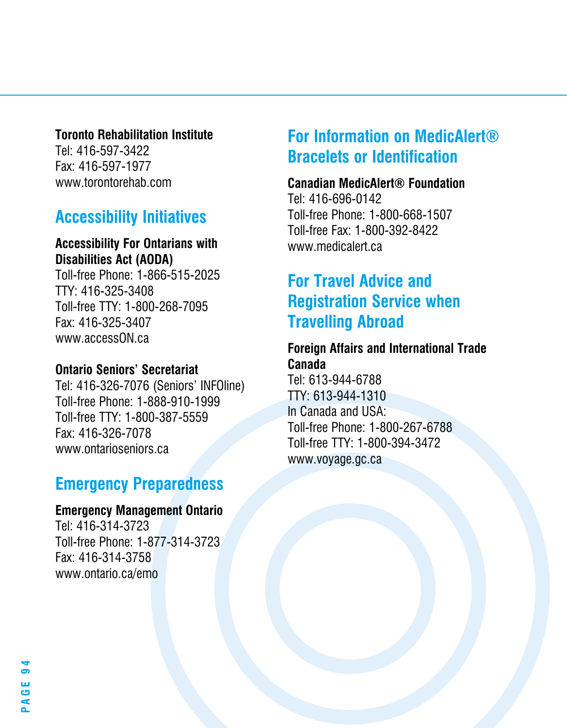#### **Toronto Rehabilitation Institute**

Tel: 416-597-3422 Fax: 416-597-1977 www.torontorehab.com

### **Accessibility Initiatives**

#### **Accessibility For Ontarians with Disabilities Act (AODA)**

Toll-free Phone: 1-866-515-2025 TTY: 416-325-3408 Toll-free TTY: 1-800-268-7095 Fax: 416-325-3407 www.accessON.ca

#### **Ontario Seniors' Secretariat**

Tel: 416-326-7076 (Seniors' INFOline) Toll-free Phone: 1-888-910-1999 Toll-free TTY: 1-800-387-5559 Fax: 416-326-7078 www.ontarioseniors.ca

### **Emergency Preparedness**

#### **Emergency Management Ontario**

Tel: 416-314-3723 Toll-free Phone: 1-877-314-3723 Fax: 416-314-3758 www.ontario.ca/emo

### **For Information on MedicAlert® Bracelets or Identification**

#### **Canadian MedicAlert® Foundation**

Tel: 416-696-0142 Toll-free Phone: 1-800-668-1507 Toll-free Fax: 1-800-392-8422 www.medicalert.ca

### **For Travel Advice and Registration Service when Travelling Abroad**

#### **Foreign Affairs and International Trade Canada**

Tel: 613-944-6788 TTY: 613-944-1310 In Canada and USA: Toll-free Phone: 1-800-267-6788 Toll-free TTY: 1-800-394-3472 www.voyage.gc.ca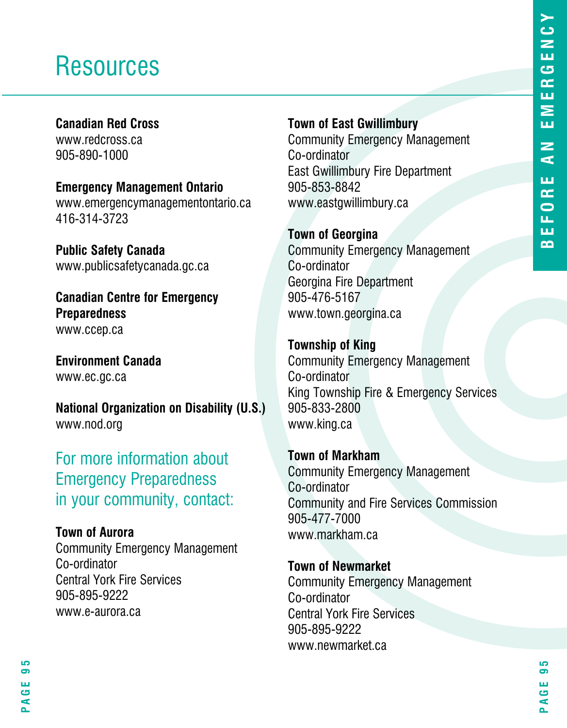### **Resources**

#### **Canadian Red Cross**

www.redcross.ca 905-890-1000

**Emergency Management Ontario** www.emergencymanagementontario.ca 416-314-3723

**Public Safety Canada** www.publicsafetycanada.gc.ca

**Canadian Centre for Emergency Preparedness** www.ccep.ca

**Environment Canada** www.ec.gc.ca

**National Organization on Disability (U.S.)** www.nod.org

For more information about Emergency Preparedness in your community, contact:

### **Town of Aurora**

Community Emergency Management Co-ordinator Central York Fire Services 905-895-9222 www.e-aurora.ca

**Town of East Gwillimbury**

Community Emergency Management Co-ordinator East Gwillimbury Fire Department 905-853-8842 www.eastgwillimbury.ca

**Town of Georgina** Community Emergency Management Co-ordinator Georgina Fire Department 905-476-5167 www.town.georgina.ca

**Township of King** Community Emergency Management Co-ordinator King Township Fire & Emergency Services 905-833-2800 www.king.ca

**Town of Markham** Community Emergency Management Co-ordinator Community and Fire Services Commission 905-477-7000 www.markham.ca

**Town of Newmarket** Community Emergency Management Co-ordinator Central York Fire Services 905-895-9222 www.newmarket.ca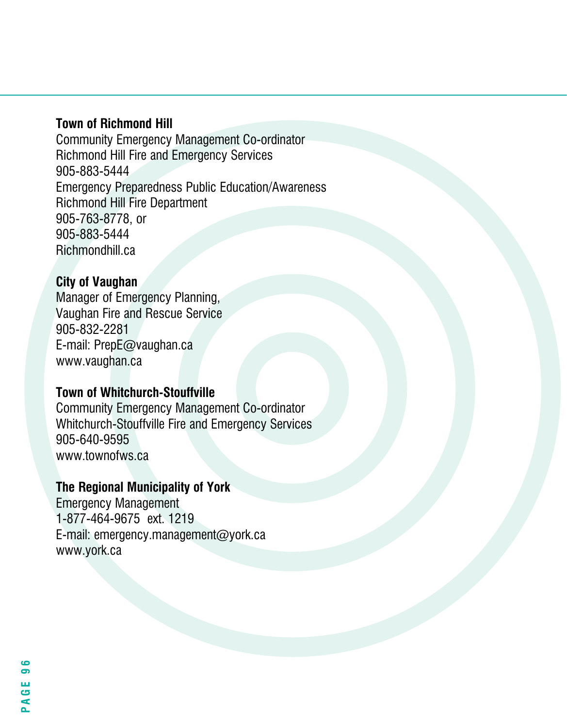#### **Town of Richmond Hill**

Community Emergency Management Co-ordinator Richmond Hill Fire and Emergency Services 905-883-5444 Emergency Preparedness Public Education/Awareness Richmond Hill Fire Department 905-763-8778, or 905-883-5444 Richmondhill.ca

#### **City of Vaughan**

Manager of Emergency Planning, Vaughan Fire and Rescue Service 905-832-2281 E-mail: PrepE@vaughan.ca www.vaughan.ca

#### **Town of Whitchurch-Stouffville**

Community Emergency Management Co-ordinator Whitchurch-Stouffville Fire and Emergency Services 905-640-9595 www.townofws.ca

#### **The Regional Municipality of York**

Emergency Management 1-877-464-9675 ext. 1219 E-mail: emergency.management@york.ca www.york.ca